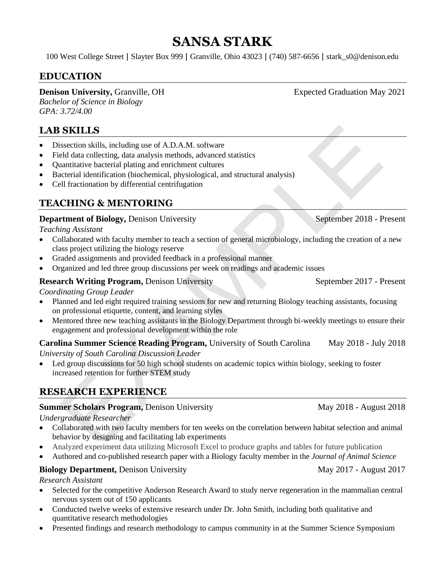# **SANSA STARK**

100 West College Street **|** Slayter Box 999 **|** Granville, Ohio 43023 **|** (740) 587-6656 **|** stark\_s0@denison.edu

## **EDUCATION**

#### **Denison University, Granville, OH Expected Graduation May 2021**

*Bachelor of Science in Biology GPA: 3.72/4.00*

## **LAB SKILLS**

- Dissection skills, including use of A.D.A.M. software
- Field data collecting, data analysis methods, advanced statistics
- Quantitative bacterial plating and enrichment cultures
- Bacterial identification (biochemical, physiological, and structural analysis)
- Cell fractionation by differential centrifugation

## **TEACHING & MENTORING**

#### **Department of Biology, Denison University September 2018 - Present**

*Teaching Assistant*

- Collaborated with faculty member to teach a section of general microbiology, including the creation of a new class project utilizing the biology reserve
- Graded assignments and provided feedback in a professional manner
- Organized and led three group discussions per week on readings and academic issues

#### **Research Writing Program,** Denison University September 2017 - Present

*Coordinating Group Leader*

- Planned and led eight required training sessions for new and returning Biology teaching assistants, focusing on professional etiquette, content, and learning styles
- Mentored three new teaching assistants in the Biology Department through bi-weekly meetings to ensure their engagement and professional development within the role

#### **Carolina Summer Science Reading Program,** University of South Carolina May 2018 - July 2018 *University of South Carolina Discussion Leader*

• Led group discussions for 50 high school students on academic topics within biology, seeking to foster increased retention for further STEM study

## **RESEARCH EXPERIENCE**

#### **Summer Scholars Program,** Denison University May 2018 - August 2018

*Undergraduate Researcher*

- **SKILLS**<br>
section skills, including use of A.D.A.M. software<br>
section skills at analysis methods, advanced statistics<br>
electrical identication (biochemical, physiological, and structural analysis)<br>
and the material planing • Collaborated with two faculty members for ten weeks on the correlation between habitat selection and animal behavior by designing and facilitating lab experiments
- Analyzed experiment data utilizing Microsoft Excel to produce graphs and tables for future publication
- Authored and co-published research paper with a Biology faculty member in the *Journal of Animal Science*

#### **Biology Department,** Denison University May 2017 - August 2017

*Research Assistant*

- Selected for the competitive Anderson Research Award to study nerve regeneration in the mammalian central nervous system out of 150 applicants
- Conducted twelve weeks of extensive research under Dr. John Smith, including both qualitative and quantitative research methodologies
- Presented findings and research methodology to campus community in at the Summer Science Symposium